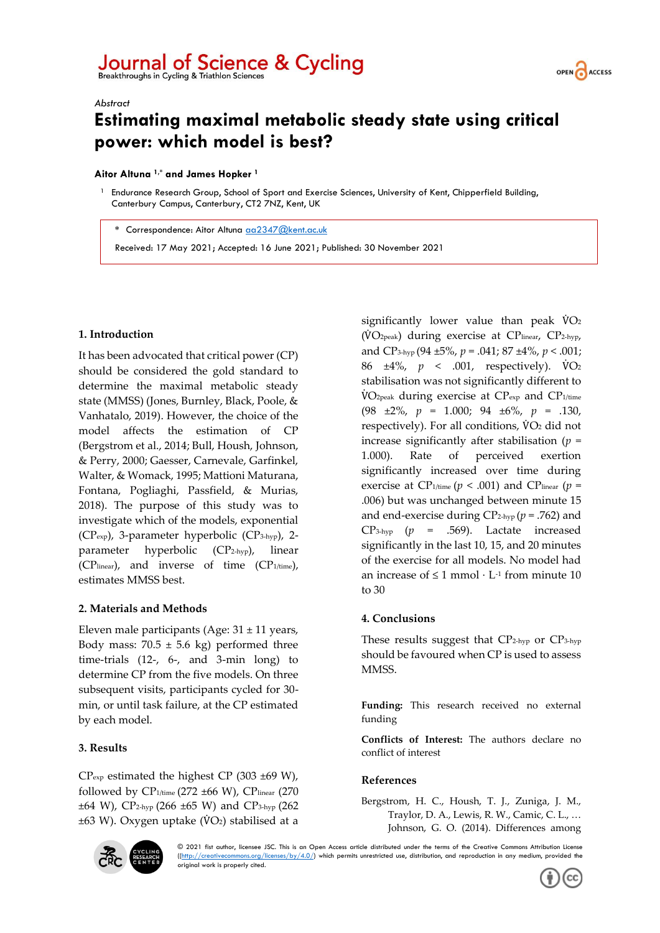# Journal of Science & Cycling Breakthroughs in Cycling & Triathlon Sciences



#### *Abstract*

# **Estimating maximal metabolic steady state using critical power: which model is best?**

#### **Aitor Altuna 1,\* and James Hopker <sup>1</sup>**

<sup>1</sup> Endurance Research Group, School of Sport and Exercise Sciences, University of Kent, Chipperfield Building, Canterbury Campus, Canterbury, CT2 7NZ, Kent, UK

**\*** Correspondence: Aitor Altuna [aa2347@kent.ac.uk](mailto:aa2347@kent.ac.uk)

Received: 17 May 2021; Accepted: 16 June 2021; Published: 30 November 2021

#### **1. Introduction**

It has been advocated that critical power (CP) should be considered the gold standard to determine the maximal metabolic steady state (MMSS) (Jones, Burnley, Black, Poole, & Vanhatalo, 2019). However, the choice of the model affects the estimation of CP (Bergstrom et al., 2014; Bull, Housh, Johnson, & Perry, 2000; Gaesser, Carnevale, Garfinkel, Walter, & Womack, 1995; Mattioni Maturana, Fontana, Pogliaghi, Passfield, & Murias, 2018). The purpose of this study was to investigate which of the models, exponential (CPexp), 3-parameter hyperbolic (CP3-hyp), 2 parameter hyperbolic (CP2-hyp), linear (CPlinear), and inverse of time (CP1/time), estimates MMSS best.

#### **2. Materials and Methods**

Eleven male participants (Age:  $31 \pm 11$  years, Body mass:  $70.5 \pm 5.6$  kg) performed three time-trials (12-, 6-, and 3-min long) to determine CP from the five models. On three subsequent visits, participants cycled for 30 min, or until task failure, at the CP estimated by each model.

## **3. Results**

 $CP_{exp}$  estimated the highest CP (303 ±69 W), followed by  $CP_{1/\text{time}}$  (272 ±66 W),  $CP_{\text{linear}}$  (270  $\pm 64$  W), CP<sub>2-hyp</sub> (266  $\pm 65$  W) and CP<sub>3-hyp</sub> (262  $\pm 63$  W). Oxygen uptake ( $\dot{V}O_2$ ) stabilised at a significantly lower value than peak  $\dot{V}O_2$ (V̇O2peak) during exercise at CPlinear, CP2-hyp, and CP3-hyp (94 ±5%, *p* = .041; 87 ±4%, *p* < .001; 86 ±4%, *p* < .001, respectively). V̇O<sup>2</sup> stabilisation was not significantly different to V̇O2peak during exercise at CPexp and CP1/time (98 ±2%, *p* = 1.000; 94 ±6%, *p* = .130, respectively). For all conditions,  $\dot{V}O_2$  did not increase significantly after stabilisation (*p* = 1.000). Rate of perceived exertion significantly increased over time during exercise at CP<sub>1/time</sub> ( $p < .001$ ) and CP<sub>linear</sub> ( $p =$ .006) but was unchanged between minute 15 and end-exercise during CP2-hyp (*p* = .762) and CP3-hyp (*p* = .569). Lactate increased significantly in the last 10, 15, and 20 minutes of the exercise for all models. No model had an increase of  $\leq 1$  mmol  $\cdot$  L<sup>-1</sup> from minute 10 to 30

## **4. Conclusions**

These results suggest that CP2-hyp or CP3-hyp should be favoured when CP is used to assess MMSS.

**Funding:** This research received no external funding

**Conflicts of Interest:** The authors declare no conflict of interest

#### **References**

Bergstrom, H. C., Housh, T. J., Zuniga, J. M., Traylor, D. A., Lewis, R. W., Camic, C. L., … Johnson, G. O. (2014). Differences among